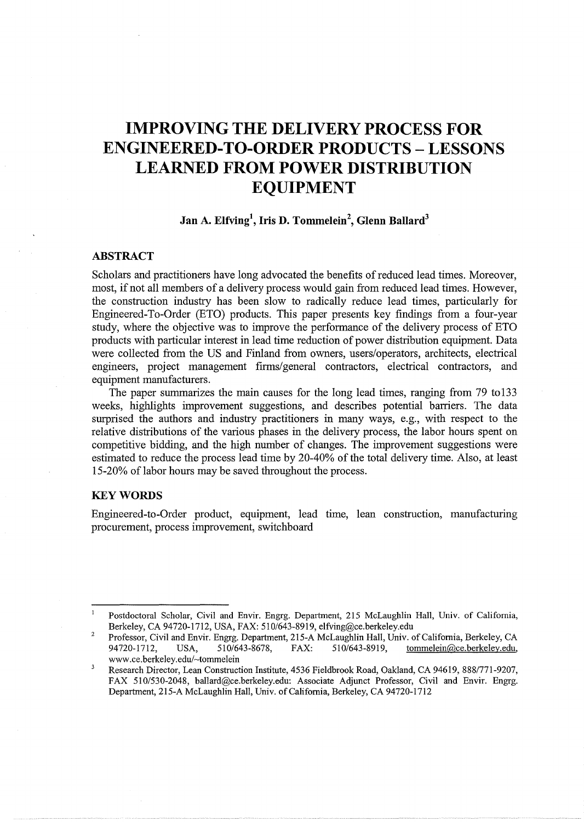# **IMPROVING THE DELIVERY PROCESS FOR ENGINEERED-TO-ORDER PRODUCTS- LESSONS LEARNED FROM POWER DISTRIBUTION EQUIPMENT**

## **Jan A. Elfving\ Iris D. Tommelein<sup>2</sup> , Glenn Ballard<sup>3</sup>**

## **ABSTRACT**

Scholars and practitioners have long advocated the benefits of reduced lead times. Moreover, most, if not all members of a delivery process would gain from reduced lead times. However, the construction industry has been slow to radically reduce lead times, particularly for Engineered-To-Order (ETO) products. This paper presents key findings from a four-year study, where the objective was to improve the performance of the delivery process of ETO products with particular interest in lead time reduction of power distribution equipment. Data were collected from the US and Finland from owners, users/operators, architects, electrical engineers, project management firms/general contractors, electrical contractors, and equipment manufacturers.

The paper summarizes the main causes for the long lead times, ranging from 79 to133 weeks, highlights improvement suggestions, and describes potential barriers. The data surprised the authors and industry practitioners in many ways, e.g., with respect to the relative distributions of the various phases in the delivery process, the labor hours spent on competitive bidding, and the high number of changes. The improvement suggestions were estimated to reduce the process lead time by 20-40% of the total delivery time. Also, at least 15-20% of labor hours may be saved throughout the process.

#### **KEYWORDS**

Engineered-to-Order product, equipment, lead time, lean construction, manufacturing procurement, process improvement, switchboard

 $\overline{1}$ Postdoctoral Scholar, Civil and Envir. Engrg. Department, 215 McLaughlin Hall, Univ. of California, Berkeley, CA 94720-1712, USA, FAX: 510/643-8919, elfving@ce.berkeley.edu

<sup>2</sup>  Professor, Civil and Envir. Engrg. Department, 215-A McLaughlin Hall, Univ. of California, Berkeley, CA 94720-1712, USA, 510/643-8678, FAX: 510/643-8919, tommelein@ce.berkeley.edu, www.ce.berkeley.edu/~tommelein

 $\overline{\mathbf{3}}$ Research Director, Lean Construction Institute, 4536 Fieldbrook Road, Oakland, CA 94619, 888/771-9207, FAX 510/530-2048, ballard@ce.berkeley.edu: Associate Adjunct Professor, Civil and Envir. Engrg. Department, 215-A McLaughlin Hall, Univ. of California, Berkeley, CA 94720-1712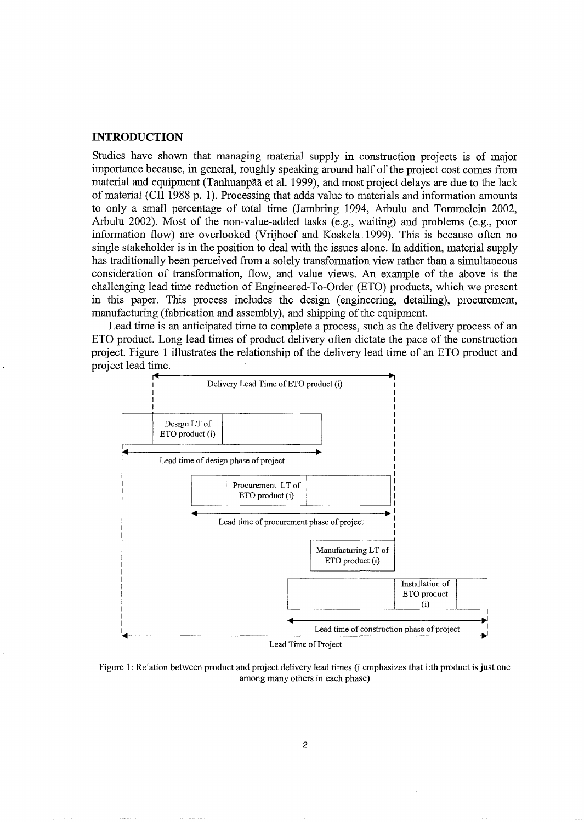## **INTRODUCTION**

Studies have shown that managing material supply in construction projects is of major importance because, in general, roughly speaking around half of the project cost comes from material and equipment (Tanhuanpää et al. 1999), and most project delays are due to the lack of material (CII 1988 p. 1). Processing that adds value to materials and information amounts to only a small percentage of total time (Jambring 1994, Arbulu and Tommelein 2002, Arbulu 2002). Most of the non-value-added tasks (e.g., waiting) and problems (e.g., poor information flow) are overlooked (Vrijhoef and Koskela 1999). This is because often no single stakeholder is in the position to deal with the issues alone. In addition, material supply has traditionally been perceived from a solely transformation view rather than a simultaneous consideration of transformation, flow, and value views. An example of the above is the challenging lead time reduction of Engineered-To-Order (ETO) products, which we present in this paper. This process includes the design (engineering, detailing), procurement, manufacturing (fabrication and assembly), and shipping of the equipment.

Lead time is an anticipated time to complete a process, such as the delivery process of an ETO product. Long lead times of product delivery often dictate the pace of the construction project. Figure 1 illustrates the relationship of the delivery lead time of an ETO product and project lead time.



Figure 1: Relation between product and project delivery lead times (i emphasizes that i:th product is just one among many others in each phase)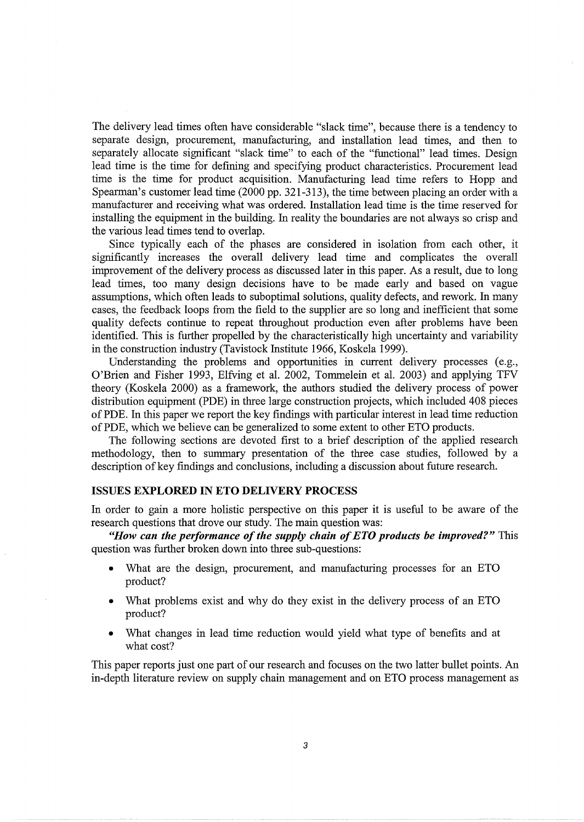The delivery lead times often have considerable "slack time", because there is a tendency to separate design, procurement, manufacturing, and installation lead times, and then to separately allocate significant "slack time" to each of the "functional" lead times. Design lead time is the time for defining and specifying product characteristics. Procurement lead time is the time for product acquisition. Manufacturing lead time refers to Hopp and Spearman's customer lead time (2000 pp. 321-313), the time between placing an order with a manufacturer and receiving what was ordered. Installation lead time is the time reserved for installing the equipment in the building. In reality the boundaries are not always so crisp and the various lead times tend to overlap.

Since typically each of the phases are considered in isolation from each other, it significantly increases the overall delivery lead time and complicates the overall improvement of the delivery process as discussed later in this paper. As a result, due to long lead times, too many design decisions have to be made early and based on vague assumptions, which often leads to suboptimal solutions, quality defects, and rework. In many cases, the feedback loops from the field to the supplier are so long and inefficient that some quality defects continue to repeat throughout production even after problems have been identified. This is further propelled by the characteristically high uncertainty and variability in the construction industry (Tavistock Institute 1966, Koskela 1999).

Understanding the problems and opportunities in current delivery processes (e.g., O'Brien and Fisher 1993, Elfving et al. 2002, Tommelein et al. 2003) and applying TFV theory (Koskela 2000) as a framework, the authors studied the delivery process of power distribution equipment (PDE) in three large construction projects, which included 408 pieces of PDE. In this paper we report the key findings with particular interest in lead time reduction of PDE, which we believe can be generalized to some extent to other ETO products.

The following sections are devoted first to a brief description of the applied research methodology, then to summary presentation of the three case studies, followed by a description of key findings and conclusions, including a discussion about future research.

#### **ISSUES EXPLORED IN ETO DELIVERY PROCESS**

In order to gain a more holistic perspective on this paper it is useful to be aware of the research questions that drove our study. The main question was:

*"How can the performance of the supply chain of ETO products be improved?"* This question was further broken down into three sub-questions:

- What are the design, procurement, and manufacturing processes for an ETO product?
- What problems exist and why do they exist in the delivery process of an ETO product?
- What changes in lead time reduction would yield what type of benefits and at what cost?

This paper reports just one part of our research and focuses on the two latter bullet points. An in-depth literature review on supply chain management and on ETO process management as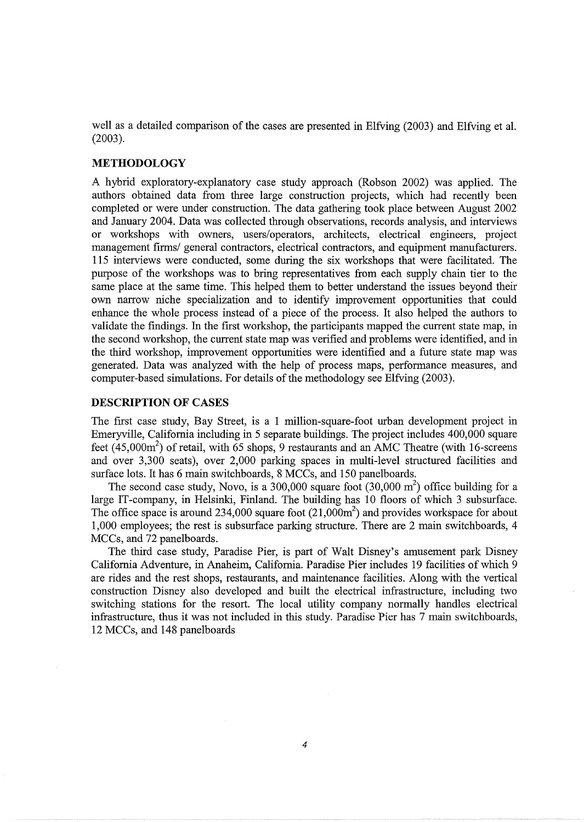well as a detailed comparison of the cases are presented in Elfving (2003) and Elfving et al. (2003).

### **METHODOLOGY**

A hybrid exploratory-explanatory case study approach (Robson 2002) was applied. The authors obtained data from three large construction projects, which had recently been completed or were under construction. The data gathering took place between August 2002 and January 2004. Data was collected through observations, records analysis, and interviews or workshops with owners, users/operators, architects, electrical engineers, project management firms/ general contractors, electrical contractors, and equipment manufacturers. 115 interviews were conducted, some during the six workshops that were facilitated. The purpose of the workshops was to bring representatives from each supply chain tier to the same place at the same time. This helped them to better understand the issues beyond their own narrow niche specialization and to identify improvement opportunities that could enhance the whole process instead of a piece of the process. It also helped the authors to validate the findings. In the first workshop, the participants mapped the current state map, in the second workshop, the current state map was verified and problems were identified, and in the third workshop, improvement opportunities were identified and a future state map was generated. Data was analyzed with the help of process maps, performance measures, and computer-based simulations. For details of the methodology see Elfving (2003).

#### **DESCRIPTION OF CASES**

The first case study, Bay Street, is a 1 million-square-foot urban development project in Emeryville, California including in 5 separate buildings. The project includes 400,000 square feet  $(45,000\text{m}^2)$  of retail, with 65 shops, 9 restaurants and an AMC Theatre (with 16-screens and over 3,300 seats), over 2,000 parking spaces in multi-level structured facilities and surface lots. It has 6 main switchboards, 8 MCCs, and 150 panelboards.

The second case study, Novo, is a 300,000 square foot  $(30,000 \text{ m}^2)$  office building for a large IT -company, in Helsinki, Finland. The building has 10 floors of which 3 subsurface. The office space is around 234,000 square foot  $(21,000m^2)$  and provides workspace for about 1,000 employees; the rest is subsurface parking structure. There are 2 main switchboards, 4 MCCs, and 72 panelboards.

The third case study, Paradise Pier, is part of Walt Disney's amusement park Disney California Adventure, in Anaheim, California. Paradise Pier includes 19 facilities of which 9 are rides and the rest shops, restaurants, and maintenance facilities. Along with the vertical construction Disney also developed and built the electrical infrastructure, including two switching stations for the resort. The local utility company normally handles electrical infrastructure, thus it was not included in this study. Paradise Pier has 7 main switchboards, 12 MCCs, and 148 panelboards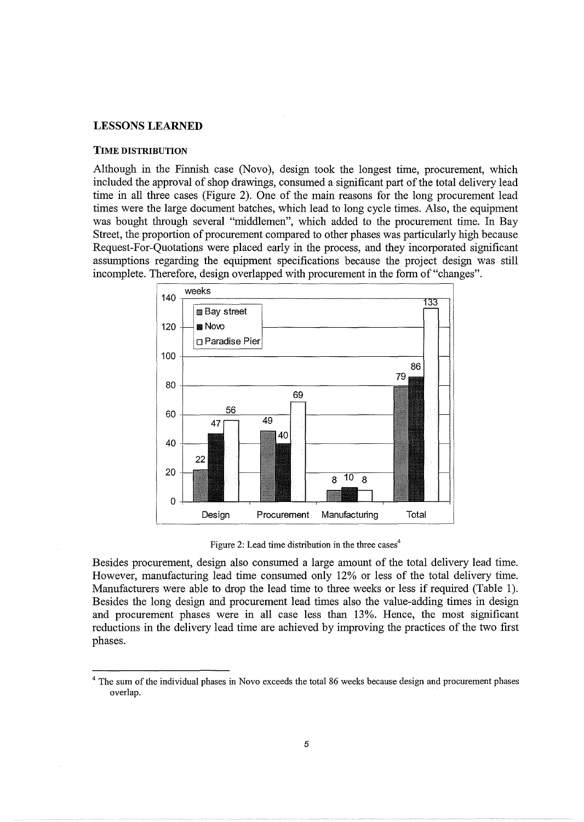## LESSONS **LEARNED**

#### TIME DISTRIBUTION

Although in the Finnish case (Novo), design took the longest time, procurement, which included the approval of shop drawings, consumed a significant part of the total delivery lead time in all three cases (Figure 2). One of the main reasons for the long procurement lead times were the large document batches, which lead to long cycle times. Also, the equipment was bought through several "middlemen", which added to the procurement time. In Bay Street, the proportion of procurement compared to other phases was particularly high because Request-For-Quotations were placed early in the process, and they incorporated significant assumptions regarding the equipment specifications because the project design was still incomplete. Therefore, design overlapped with procurement in the form of "changes".



Figure 2: Lead time distribution in the three cases<sup>4</sup>

Besides procurement, design also consumed a large amount of the total delivery lead time. However, manufacturing lead time consumed only 12% or less of the total delivery time. Manufacturers were able to drop the lead time to three weeks or less if required (Table 1). Besides the long design and procurement lead times also the value-adding times in design and procurement phases were in all case less than 13%. Hence, the most significant reductions in the delivery lead time are achieved by improving the practices of the two first phases.

<sup>&</sup>lt;sup>4</sup> The sum of the individual phases in Novo exceeds the total 86 weeks because design and procurement phases overlap.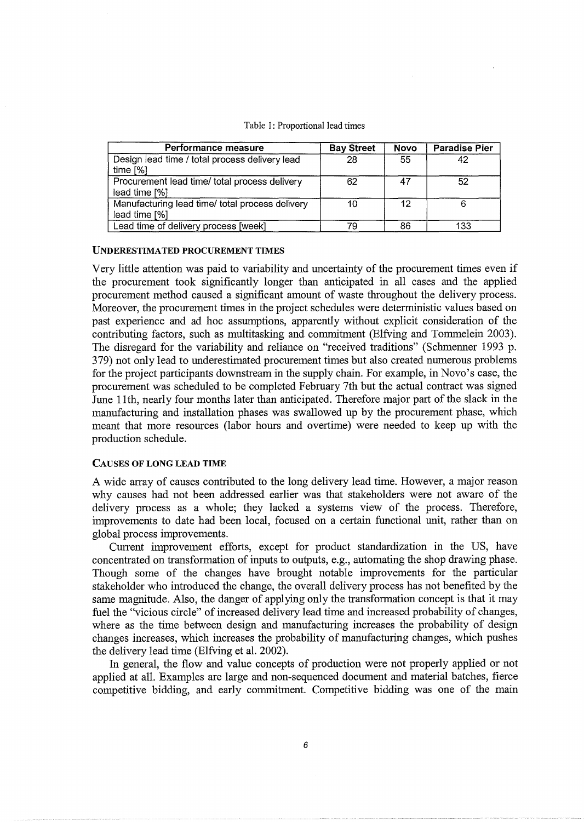#### Table 1: Proportional lead times

| Performance measure                                              | <b>Bay Street</b> | <b>Novo</b> | <b>Paradise Pier</b> |
|------------------------------------------------------------------|-------------------|-------------|----------------------|
| Design lead time / total process delivery lead<br>time $[%]$     | 28                | 55          | 42                   |
| Procurement lead time/ total process delivery<br>lead time [%]   | 62                | 47          | 52                   |
| Manufacturing lead time/ total process delivery<br>lead time [%] | 10                | 12          | Բ                    |
| Lead time of delivery process [week]                             | 79                | 86          | 133                  |

#### UNDERESTIMATED PROCUREMENT TIMES

Very little attention was paid to variability and uncertainty of the procurement times even if the procurement took significantly longer than anticipated in all cases and the applied procurement method caused a significant amount of waste throughout the delivery process. Moreover, the procurement times in the project schedules were deterministic values based on past experience and ad hoc assumptions, apparently without explicit consideration of the contributing factors, such as multitasking and commitment (Elfving and Tommelein 2003). The disregard for the variability and reliance on "received traditions" (Schmenner 1993 p. 379) not only lead to underestimated procurement times but also created numerous problems for the project participants downstream in the supply chain. For example, in Novo's case, the procurement was scheduled to be completed February 7th but the actual contract was signed June 11th, nearly four months later than anticipated. Therefore major part of the slack in the manufacturing and installation phases was swallowed up by the procurement phase, which meant that more resources (labor hours and overtime) were needed to keep up with the production schedule.

#### CAUSES OF LONG LEAD TIME

A wide array of causes contributed to the long delivery lead time. However, a major reason why causes had not been addressed earlier was that stakeholders were not aware of the delivery process as a whole; they lacked a systems view of the process. Therefore, improvements to date had been local, focused on a certain functional unit, rather than on global process improvements.

Current improvement efforts, except for product standardization in the US, have concentrated on transformation of inputs to outputs, e.g., automating the shop drawing phase. Though some of the changes have brought notable improvements for the particular stakeholder who introduced the change, the overall delivery process has not benefited by the same magnitude. Also, the danger of applying only the transformation concept is that it may fuel the "vicious circle" of increased delivery lead time and increased probability of changes, where as the time between design and manufacturing increases the probability of design changes increases, which increases the probability of manufacturing changes, which pushes the delivery lead time (Elfving et al. 2002).

In general, the flow and value concepts of production were not properly applied or not applied at all. Examples are large and non-sequenced document and material batches, fierce competitive bidding, and early commitment. Competitive bidding was one of the main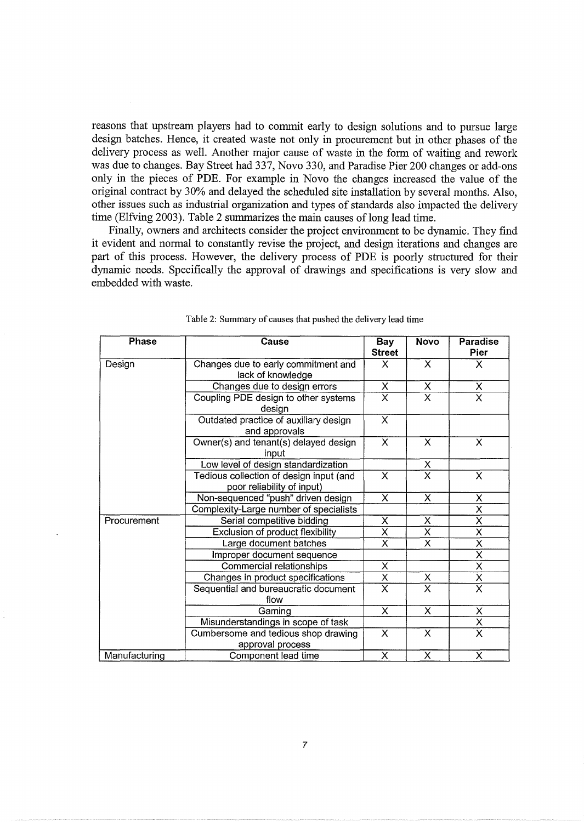reasons that upstream players had to commit early to design solutions and to pursue large design batches. Hence, it created waste not only in procurement but in other phases of the delivery process as well. Another major cause of waste in the form of waiting and rework was due to changes. Bay Street had 337, Novo 330, and Paradise Pier 200 changes or add-ons only in the pieces of PDE. For example in Novo the changes increased the value of the original contract by 30% and delayed the scheduled site installation by several months. Also, other issues such as industrial organization and types of standards also impacted the delivery time (Elfving 2003). Table 2 summarizes the main causes of long lead time.

Finally, owners and architects consider the project environment to be dynamic. They find it evident and normal to constantly revise the project, and design iterations and changes are part of this process. However, the delivery process of PDE is poorly structured for their dynamic needs. Specifically the approval of drawings and specifications is very slow and embedded with waste.

| Phase         | Cause                                                                 | <b>Bay</b><br><b>Street</b> | <b>Novo</b>             | Paradise<br>Pier        |
|---------------|-----------------------------------------------------------------------|-----------------------------|-------------------------|-------------------------|
| Design        | Changes due to early commitment and<br>lack of knowledge              | X                           | X                       | X.                      |
|               | Changes due to design errors                                          | $\overline{\mathsf{x}}$     | $\overline{\mathsf{x}}$ | $\mathsf{X}$            |
|               | Coupling PDE design to other systems<br>design                        | $\overline{\mathsf{x}}$     | $\overline{\mathsf{x}}$ | $\overline{\sf x}$      |
|               | Outdated practice of auxiliary design<br>and approvals                | $\overline{\mathsf{x}}$     |                         |                         |
|               | Owner(s) and tenant(s) delayed design<br>input                        | $\overline{\mathsf{x}}$     | X                       | $\mathsf{X}$            |
|               | Low level of design standardization                                   |                             | X.                      |                         |
|               | Tedious collection of design input (and<br>poor reliability of input) | $\overline{\mathsf{x}}$     | $\overline{\mathsf{x}}$ | $\overline{\mathsf{x}}$ |
|               | Non-sequenced "push" driven design                                    | $\overline{\mathsf{x}}$     | $\overline{\mathsf{x}}$ | X                       |
|               | Complexity-Large number of specialists                                |                             |                         | $\overline{\mathsf{x}}$ |
| Procurement   | Serial competitive bidding                                            | X                           | X                       | $\overline{\mathsf{x}}$ |
|               | Exclusion of product flexibility                                      | $\overline{\mathsf{x}}$     | $\overline{\mathsf{x}}$ | $\overline{\mathsf{x}}$ |
|               | Large document batches                                                | $\overline{\mathsf{x}}$     | $\overline{\mathsf{x}}$ | $\overline{\mathsf{x}}$ |
|               | Improper document sequence                                            |                             |                         | $\overline{\mathsf{x}}$ |
|               | Commercial relationships                                              | $\overline{\mathsf{x}}$     |                         | $\overline{\chi}$       |
|               | Changes in product specifications                                     | $\overline{\mathsf{x}}$     | X                       | $\overline{\mathsf{x}}$ |
|               | Sequential and bureaucratic document<br>flow                          | $\overline{\mathsf{x}}$     | $\overline{\mathsf{x}}$ | $\overline{\mathsf{x}}$ |
|               | Gaming                                                                | X                           | X.                      | X                       |
|               | Misunderstandings in scope of task                                    |                             |                         | $\overline{\mathsf{x}}$ |
|               | Cumbersome and tedious shop drawing<br>approval process               | X                           | $\overline{\mathsf{x}}$ | $\overline{\mathsf{x}}$ |
| Manufacturing | Component lead time                                                   | $\overline{\mathsf{x}}$     | $\overline{\mathsf{x}}$ | $\overline{\mathsf{x}}$ |

| Table 2: Summary of causes that pushed the delivery lead time |  |  |
|---------------------------------------------------------------|--|--|
|---------------------------------------------------------------|--|--|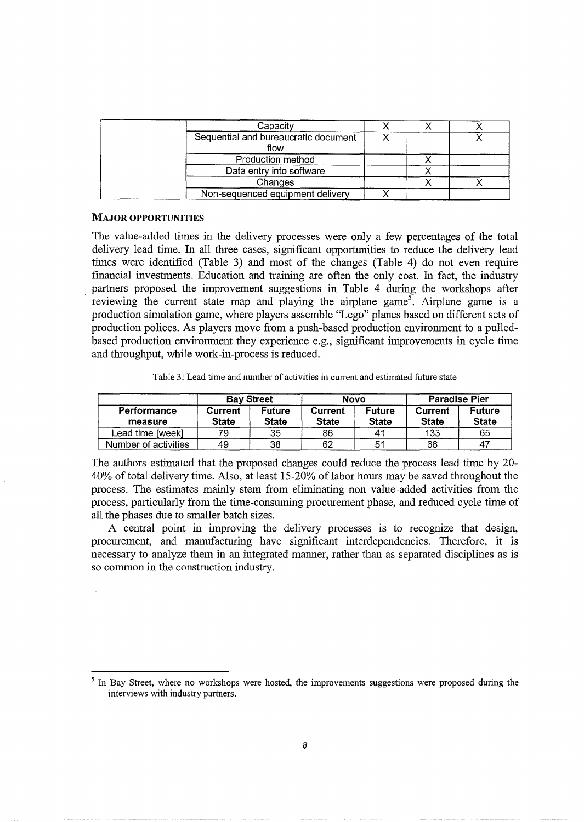| Capacity                                     |  |  |
|----------------------------------------------|--|--|
| Sequential and bureaucratic document<br>flow |  |  |
| Production method                            |  |  |
| Data entry into software                     |  |  |
| Changes                                      |  |  |
| Non-sequenced equipment delivery             |  |  |

## MAJOR OPPORTUNITIES

The value-added times in the delivery processes were only a few percentages of the total delivery lead time. In all three cases, significant opportunities to reduce the delivery lead times were identified (Table 3) and most of the changes (Table 4) do not even require financial investments. Education and training are often the only cost. In fact, the industry partners proposed the improvement suggestions in Table 4 during the workshops after reviewing the current state map and playing the airplane game<sup>5</sup>. Airplane game is a production simulation game, where players assemble "Lego" planes based on different sets of production polices. As players move from a push-based production environment to a pulledbased production environment they experience e.g., significant improvements in cycle time and throughput, while work-in-process is reduced.

Table 3: Lead time and number of activities in current and estimated future state

|                        | <b>Bay Street</b>       |                               |                                | Novo                          |                                | <b>Paradise Pier</b>          |  |
|------------------------|-------------------------|-------------------------------|--------------------------------|-------------------------------|--------------------------------|-------------------------------|--|
| Performance<br>measure | Current<br><b>State</b> | <b>Future</b><br><b>State</b> | <b>Current</b><br><b>State</b> | <b>Future</b><br><b>State</b> | <b>Current</b><br><b>State</b> | <b>Future</b><br><b>State</b> |  |
| Lead time [week]       | 79                      | 35                            | 86                             | 41                            | 133                            | 65                            |  |
| Number of activities   | 49                      | 38                            | 62                             | 51                            | 66                             |                               |  |

The authors estimated that the proposed changes could reduce the process lead time by 20- 40% of total delivery time. Also, at least 15-20% of labor hours may be saved throughout the process. The estimates mainly stem from eliminating non value-added activities from the process, particularly from the time-consuming procurement phase, and reduced cycle time of all the phases due to smaller batch sizes.

A central point in improving the delivery processes is to recognize that design, procurement, and manufacturing have significant interdependencies. Therefore, it is necessary to analyze them in an integrated manner, rather than as separated disciplines as is so common in the construction industry.

<sup>&</sup>lt;sup>5</sup> In Bav Street, where no workshops were hosted, the improvements suggestions were proposed during the interviews with industry partners.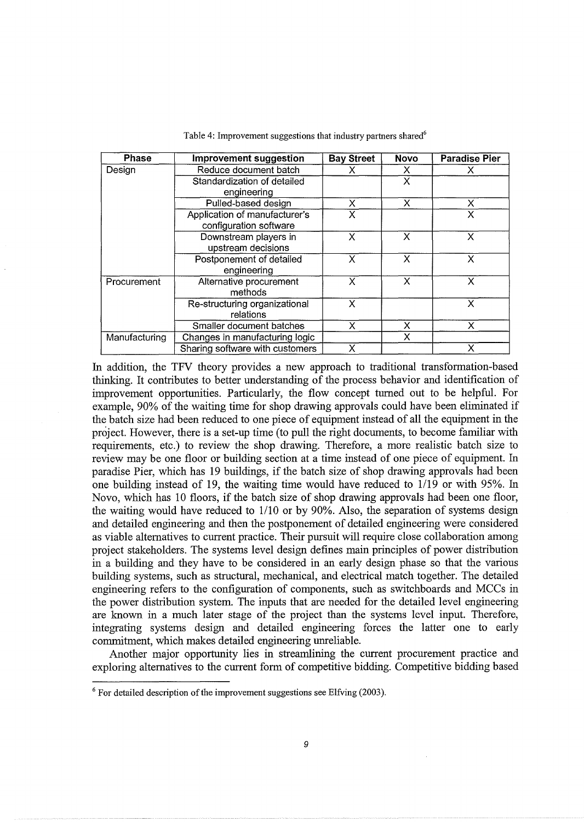| <b>Phase</b>  | <b>Improvement suggestion</b>   | <b>Bay Street</b> | <b>Novo</b> | <b>Paradise Pier</b> |
|---------------|---------------------------------|-------------------|-------------|----------------------|
| Design        | Reduce document batch           | х                 | x           |                      |
|               | Standardization of detailed     |                   | X           |                      |
|               | engineering                     |                   |             |                      |
|               | Pulled-based design             | X                 | X           | x                    |
|               | Application of manufacturer's   | X                 |             | x                    |
|               | configuration software          |                   |             |                      |
|               | Downstream players in           | X                 | X           | x                    |
|               | upstream decisions              |                   |             |                      |
|               | Postponement of detailed        | X                 | X           | x                    |
|               | engineering                     |                   |             |                      |
| Procurement   | Alternative procurement         | X                 | X           | X                    |
|               | methods                         |                   |             |                      |
|               | Re-structuring organizational   | X                 |             | x                    |
|               | relations                       |                   |             |                      |
|               | Smaller document batches        | X                 | X           | X                    |
| Manufacturing | Changes in manufacturing logic  |                   | x           |                      |
|               | Sharing software with customers | x                 |             | x                    |

Table 4: Improvement suggestions that industry partners shared<sup>6</sup>

In addition, the TFV theory provides a new approach to traditional transformation-based thinking. It contributes to better understanding of the process behavior and identification of improvement opportunities. Particularly, the flow concept turned out to be helpful. For example, 90% of the waiting time for shop drawing approvals could have been eliminated if the batch size had been reduced to one piece of equipment instead of all the equipment in the project. However, there is a set-up time (to pull the right documents, to become familiar with requirements, etc.) to review the shop drawing. Therefore, a more realistic batch size to review may be one floor or building section at a time instead of one piece of equipment. In paradise Pier, which has 19 buildings, if the batch size of shop drawing approvals had been one building instead of 19, the waiting time would have reduced to 1119 or with 95%. In Novo, which has 10 floors, if the batch size of shop drawing approvals had been one floor, the waiting would have reduced to 1/10 or by 90%. Also, the separation of systems design and detailed engineering and then the postponement of detailed engineering were considered as viable alternatives to current practice. Their pursuit will require close collaboration among project stakeholders. The systems level design defines main principles of power distribution in a building and they have to be considered in an early design phase so that the various building systems, such as structural, mechanical, and electrical match together. The detailed engineering refers to the configuration of components, such as switchboards and MCCs in the power distribution system. The inputs that are needed for the detailed level engineering are known in a much later stage of the project than the systems level input. Therefore, integrating systems design and detailed engineering forces the latter one to early commitment, which makes detailed engineering unreliable.

Another major opportunity lies in streamlining the current procurement practice and exploring alternatives to the current form of competitive bidding. Competitive bidding based

 $6$  For detailed description of the improvement suggestions see Elfving (2003).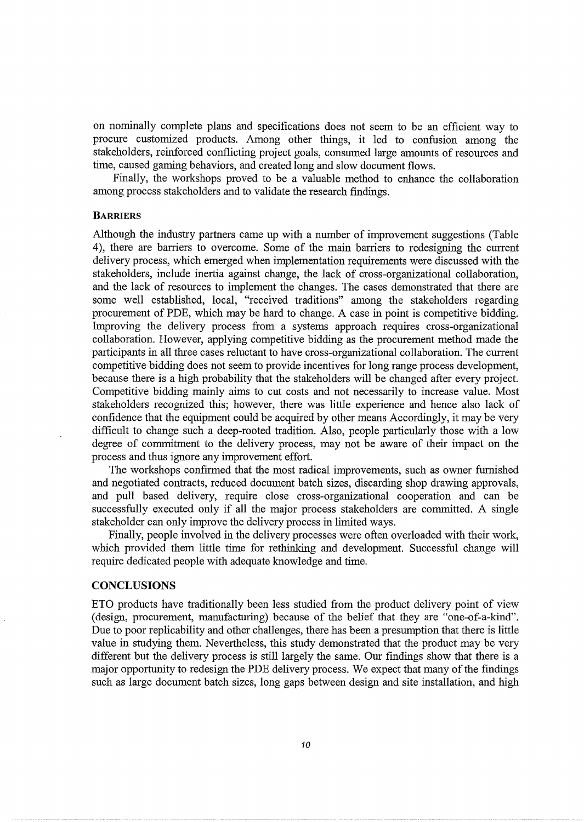on nominally complete plans and specifications does not seem to be an efficient way to procure customized products. Among other things, it led to confusion among the stakeholders, reinforced conflicting project goals, consumed large amounts of resources and time, caused gaming behaviors, and created long and slow document flows.

Finally, the workshops proved to be a valuable method to enhance the collaboration among process stakeholders and to validate the research findings.

#### **BARRIERS**

Although the industry partners came up with a number of improvement suggestions (Table 4), there are barriers to overcome. Some of the main barriers to redesigning the current delivery process, which emerged when implementation requirements were discussed with the stakeholders, include inertia against change, the lack of cross-organizational collaboration, and the lack of resources to implement the changes. The cases demonstrated that there are some well established, local, "received traditions" among the stakeholders regarding procurement of PDE, which may be hard to change. A case in point is competitive bidding. Improving the delivery process from a systems approach requires cross-organizational collaboration. However, applying competitive bidding as the procurement method made the participants in all three cases reluctant to have cross-organizational collaboration. The current competitive bidding does not seem to provide incentives for long range process development, because there is a high probability that the stakeholders will be changed after every project. Competitive bidding mainly aims to cut costs and not necessarily to increase value. Most stakeholders recognized this; however, there was little experience and hence also lack of confidence that the equipment could be acquired by other means Accordingly, it may be very difficult to change such a deep-rooted tradition. Also, people particularly those with a low degree of commitment to the delivery process, may not be aware of their impact on the process and thus ignore any improvement effort.

The workshops confirmed that the most radical improvements, such as owner furnished and negotiated contracts, reduced document batch sizes, discarding shop drawing approvals, and pull based delivery, require close cross-organizational cooperation and can be successfully executed only if all the major process stakeholders are committed. A single stakeholder can only improve the delivery process in limited ways.

Finally, people involved in the delivery processes were often overloaded with their work, which provided them little time for rethinking and development. Successful change will require dedicated people with adequate knowledge and time.

## **CONCLUSIONS**

ETO products have traditionally been less studied from the product delivery point of view (design, procurement, manufacturing) because of the belief that they are "one-of-a-kind". Due to poor replicability and other challenges, there has been a presumption that there is little value in studying them. Nevertheless, this study demonstrated that the product may be very different but the delivery process is still largely the same. Our findings show that there is a major opportunity to redesign the PDE delivery process. We expect that many of the findings such as large document batch sizes, long gaps between design and site installation, and high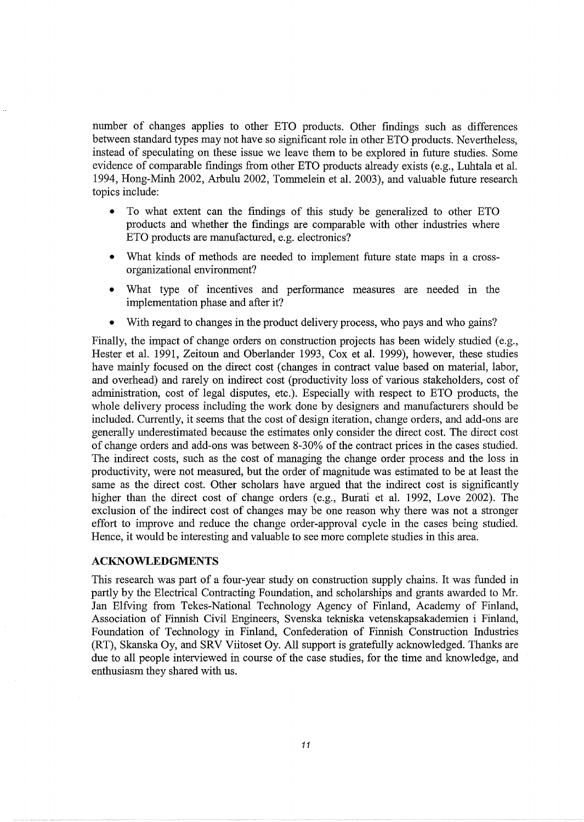number of changes applies to other ETO products. Other findings such as differences between standard types may not have so significant role in other ETO products. Nevertheless, instead of speculating on these issue we leave them to be explored in future studies. Some evidence of comparable findings from other ETO products already exists (e.g., Luhtala et al. 1994, Hong-Minh 2002, Arbulu 2002, Tommelein et al. 2003), and valuable future research topics include:

- To what extent can the findings of this study be generalized to other ETO products and whether the fmdings are comparable with other industries where ETO products are manufactured, e.g. electronics?
- What kinds of methods are needed to implement future state maps in a crossorganizational environment?
- What type of incentives and performance measures are needed in the implementation phase and after it?
- With regard to changes in the product delivery process, who pays and who gains?

Finally, the impact of change orders on construction projects has been widely studied (e.g., Hester et al. 1991, Zeitoun and Oberlander 1993, Cox et al. 1999), however, these studies have mainly focused on the direct cost (changes in contract value based on material, labor, and overhead) and rarely on indirect cost (productivity loss of various stakeholders, cost of administration, cost of legal disputes, etc.). Especially with respect to ETO products, the whole delivery process including the work done by designers and manufacturers should be included. Currently, it seems that the cost of design iteration, change orders, and add-ons are generally underestimated because the estimates only consider the direct cost. The direct cost of change orders and add-ons was between 8-30% of the contract prices in the cases studied. The indirect costs, such as the cost of managing the change order process and the loss in productivity, were not measured, but the order of magnitude was estimated to be at least the same as the direct cost. Other scholars have argued that the indirect cost is significantly higher than the direct cost of change orders (e.g., Burati et al. 1992, Love 2002). The exclusion of the indirect cost of changes may be one reason why there was not a stronger effort to improve and reduce the change order-approval cycle in the cases being studied. Hence, it would be interesting and valuable to see more complete studies in this area.

### **ACKNOWLEDGMENTS**

This research was part of a four-year study on construction supply chains. It was funded in partly by the Electrical Contracting Foundation, and scholarships and grants awarded to Mr. Jan Elfving from Tekes-National Technology Agency of Finland, Academy of Finland, Association of Finnish Civil Engineers, Svenska tekniska vetenskapsakademien i Finland, Foundation of Technology in Finland, Confederation of Finnish Construction Industries (RT), Skanska Oy, and SRV Viitoset Oy. All support is gratefully acknowledged. Thanks are due to all people interviewed in course of the case studies, for the time and knowledge, and enthusiasm they shared with us.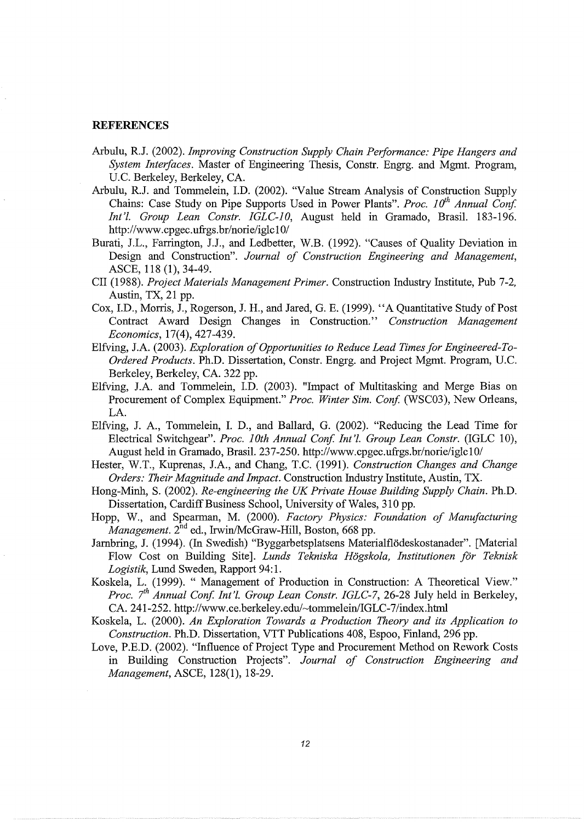## **REFERENCES**

- Arbulu, R.J. (2002). *Improving Construction Supply Chain Performance: Pipe Hangers and System Interfaces.* Master of Engineering Thesis, Constr. Engrg. and Mgmt. Program, U.C. Berkeley, Berkeley, CA.
- Arbulu, *R.I.* and Tommelein, I.D. (2002). "Value Stream Analysis of Construction Supply Chains: Case Study on Pipe Supports Used in Power Plants". *Proc.* 10<sup>th</sup> Annual Conf. *Int'l. Group Lean Constr. IGLC-10,* August held in Gramado, Brasil. 183-196. http://www.cpgec.ufrgs.br/norie/iglc10/
- Burati, J.L., Farrington, J.J., and Ledbetter, W.B. (1992). "Causes of Quality Deviation in Design and Construction". *Journal of Construction Engineering and Management,*  ASCE, 118 (1), 34-49.
- CII (1988). *Project Materials Management Primer.* Construction Industry Institute, Pub 7-2, Austin, TX, 21 pp.
- Cox, J.D., Morris, J., Rogerson, J. H., and Jared, G. E. (1999). "A Quantitative Study of Post Contract A ward Design Changes in Construction.'' *Construction Management Economics,* 17(4), 427-439.
- Elfving, J.A. (2003). *Exploration of Opportunities to Reduce Lead Times for Engineered-To-Ordered Products.* Ph.D. Dissertation, Constr. Engrg. and Project Mgmt. Program, U.C. Berkeley, Berkeley, CA. 322 pp.
- Elfving, J.A. and Tommelein, I.D. (2003). "Impact of Multitasking and Merge Bias on Procurement of Complex Equipment." *Proc. Winter Sim. Conf.* (WSC03), New Orleans, LA.
- Elfving, J. A., Tommelein, I. D., and Ballard, G. (2002). "Reducing the Lead Time for Electrical Switchgear". Proc. 10th Annual Conf. Int'l. Group Lean Constr. (IGLC 10), August held in Gramado, Brasil. 237-250. http://www.cpgec.ufrgs.br/norie/iglc10/
- Hester, W.T., Kuprenas, J.A., and Chang, T.C. (1991). *Construction Changes and Change Orders: Their Magnitude and Impact.* Construction Industry Institute, Austin, TX.
- Hong-Minh, S. (2002). *Re-engineering the UK Private House Building Supply Chain.* Ph.D. Dissertation, Cardiff Business School, University of Wales, 310 pp.
- Hopp, W., and Spearman, M. (2000). *Factory Physics: Foundation of Manufacturing Management.*  $2^{nd}$  ed., Irwin/McGraw-Hill, Boston, 668 pp.
- Jambring, J. (1994). (In Swedish) "Byggarbetsplatsens Materialflodeskostanader". [Material Flow Cost on Building Site]. *Lunds Tekniska Hogskola, Institutionen for Teknisk Logistik,* Lund Sweden, Rapport 94:1.
- Koskela, L. (1999). " Management of Production in Construction: A Theoretical View." *Proc.* 7<sup>th</sup> Annual Conf. Int'l. Group Lean Constr. IGLC-7, 26-28 July held in Berkeley, CA. 241-252. http://www.ce.berkeley.edu/~tommelein/IGLC-7/index.html
- Koskela, L. (2000). *An Exploration Towards a Production Theory and its Application to Construction.* Ph.D. Dissertation, VTT Publications 408, Espoo, Finland, 296 pp.
- Love, P.E.D. (2002). "Influence of Project Type and Procurement Method on Rework Costs in Building Construction Projects". *Journal of Construction Engineering and Management,* ASCE, 128(1), 18-29.